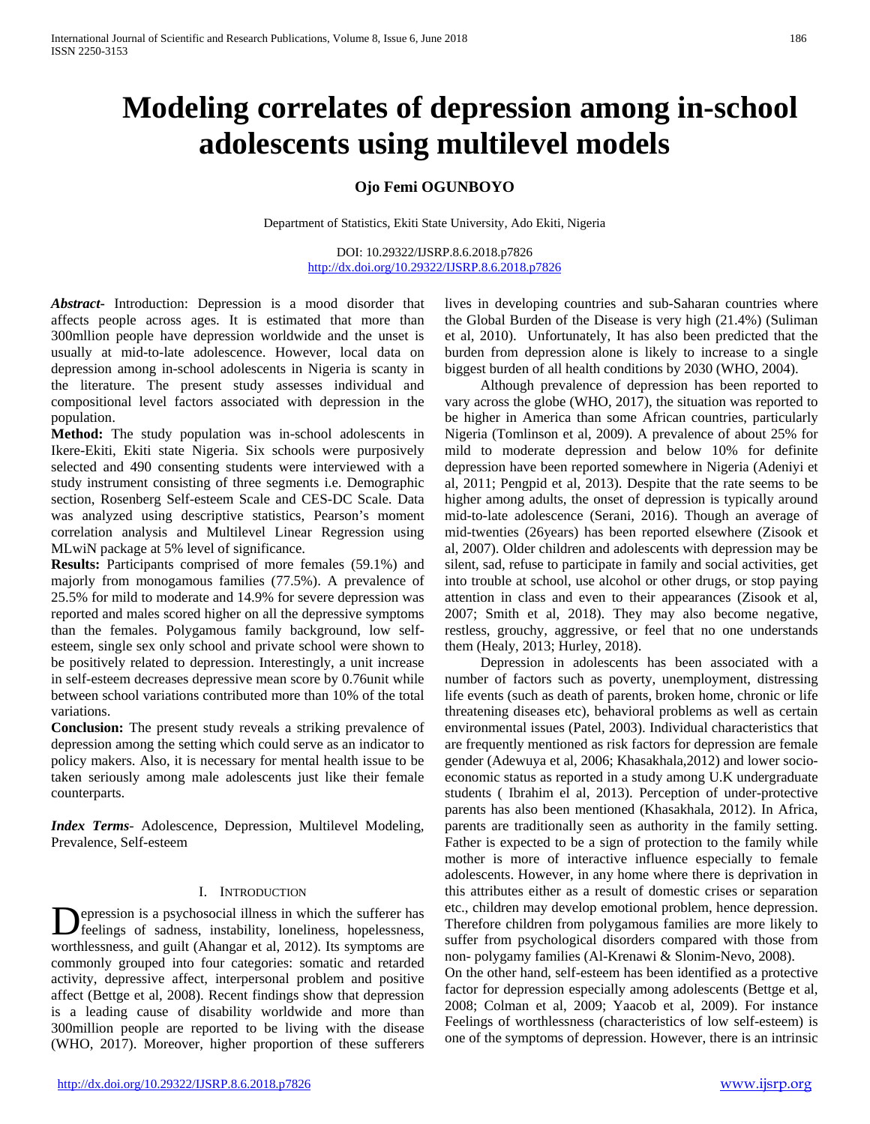# **Modeling correlates of depression among in-school adolescents using multilevel models**

## **Ojo Femi OGUNBOYO**

Department of Statistics, Ekiti State University, Ado Ekiti, Nigeria

DOI: 10.29322/IJSRP.8.6.2018.p7826 <http://dx.doi.org/10.29322/IJSRP.8.6.2018.p7826>

*Abstract***-** Introduction: Depression is a mood disorder that affects people across ages. It is estimated that more than 300mllion people have depression worldwide and the unset is usually at mid-to-late adolescence. However, local data on depression among in-school adolescents in Nigeria is scanty in the literature. The present study assesses individual and compositional level factors associated with depression in the population.

**Method:** The study population was in-school adolescents in Ikere-Ekiti, Ekiti state Nigeria. Six schools were purposively selected and 490 consenting students were interviewed with a study instrument consisting of three segments i.e. Demographic section, Rosenberg Self-esteem Scale and CES-DC Scale. Data was analyzed using descriptive statistics, Pearson's moment correlation analysis and Multilevel Linear Regression using MLwiN package at 5% level of significance.

**Results:** Participants comprised of more females (59.1%) and majorly from monogamous families (77.5%). A prevalence of 25.5% for mild to moderate and 14.9% for severe depression was reported and males scored higher on all the depressive symptoms than the females. Polygamous family background, low selfesteem, single sex only school and private school were shown to be positively related to depression. Interestingly, a unit increase in self-esteem decreases depressive mean score by 0.76unit while between school variations contributed more than 10% of the total variations.

**Conclusion:** The present study reveals a striking prevalence of depression among the setting which could serve as an indicator to policy makers. Also, it is necessary for mental health issue to be taken seriously among male adolescents just like their female counterparts.

*Index Terms*- Adolescence, Depression, Multilevel Modeling, Prevalence, Self-esteem

#### I. INTRODUCTION

epression is a psychosocial illness in which the sufferer has **D**epression is a psychosocial illness in which the sufferer has<br>feelings of sadness, instability, loneliness, hopelessness, worthlessness, and guilt (Ahangar et al, 2012). Its symptoms are commonly grouped into four categories: somatic and retarded activity, depressive affect, interpersonal problem and positive affect (Bettge et al, 2008). Recent findings show that depression is a leading cause of disability worldwide and more than 300million people are reported to be living with the disease (WHO, 2017). Moreover, higher proportion of these sufferers

lives in developing countries and sub-Saharan countries where the Global Burden of the Disease is very high (21.4%) (Suliman et al, 2010). Unfortunately, It has also been predicted that the burden from depression alone is likely to increase to a single biggest burden of all health conditions by 2030 (WHO, 2004).

 Although prevalence of depression has been reported to vary across the globe (WHO, 2017), the situation was reported to be higher in America than some African countries, particularly Nigeria (Tomlinson et al, 2009). A prevalence of about 25% for mild to moderate depression and below 10% for definite depression have been reported somewhere in Nigeria (Adeniyi et al, 2011; Pengpid et al, 2013). Despite that the rate seems to be higher among adults, the onset of depression is typically around mid-to-late adolescence (Serani, 2016). Though an average of mid-twenties (26years) has been reported elsewhere (Zisook et al, 2007). Older children and adolescents with depression may be silent, sad, refuse to participate in family and social activities, get into trouble at school, use alcohol or other drugs, or stop paying attention in class and even to their appearances (Zisook et al, 2007; Smith et al, 2018). They may also become negative, restless, grouchy, aggressive, or feel that no one understands them (Healy, 2013; Hurley, 2018).

 Depression in adolescents has been associated with a number of factors such as poverty, unemployment, distressing life events (such as death of parents, broken home, chronic or life threatening diseases etc), behavioral problems as well as certain environmental issues (Patel, 2003). Individual characteristics that are frequently mentioned as risk factors for depression are female gender (Adewuya et al, 2006; Khasakhala,2012) and lower socioeconomic status as reported in a study among U.K undergraduate students ( Ibrahim el al, 2013). Perception of under-protective parents has also been mentioned (Khasakhala, 2012). In Africa, parents are traditionally seen as authority in the family setting. Father is expected to be a sign of protection to the family while mother is more of interactive influence especially to female adolescents. However, in any home where there is deprivation in this attributes either as a result of domestic crises or separation etc., children may develop emotional problem, hence depression. Therefore children from polygamous families are more likely to suffer from psychological disorders compared with those from non- polygamy families (Al-Krenawi & Slonim-Nevo, 2008).

On the other hand, self-esteem has been identified as a protective factor for depression especially among adolescents (Bettge et al, 2008; Colman et al, 2009; Yaacob et al, 2009). For instance Feelings of worthlessness (characteristics of low self-esteem) is one of the symptoms of depression. However, there is an intrinsic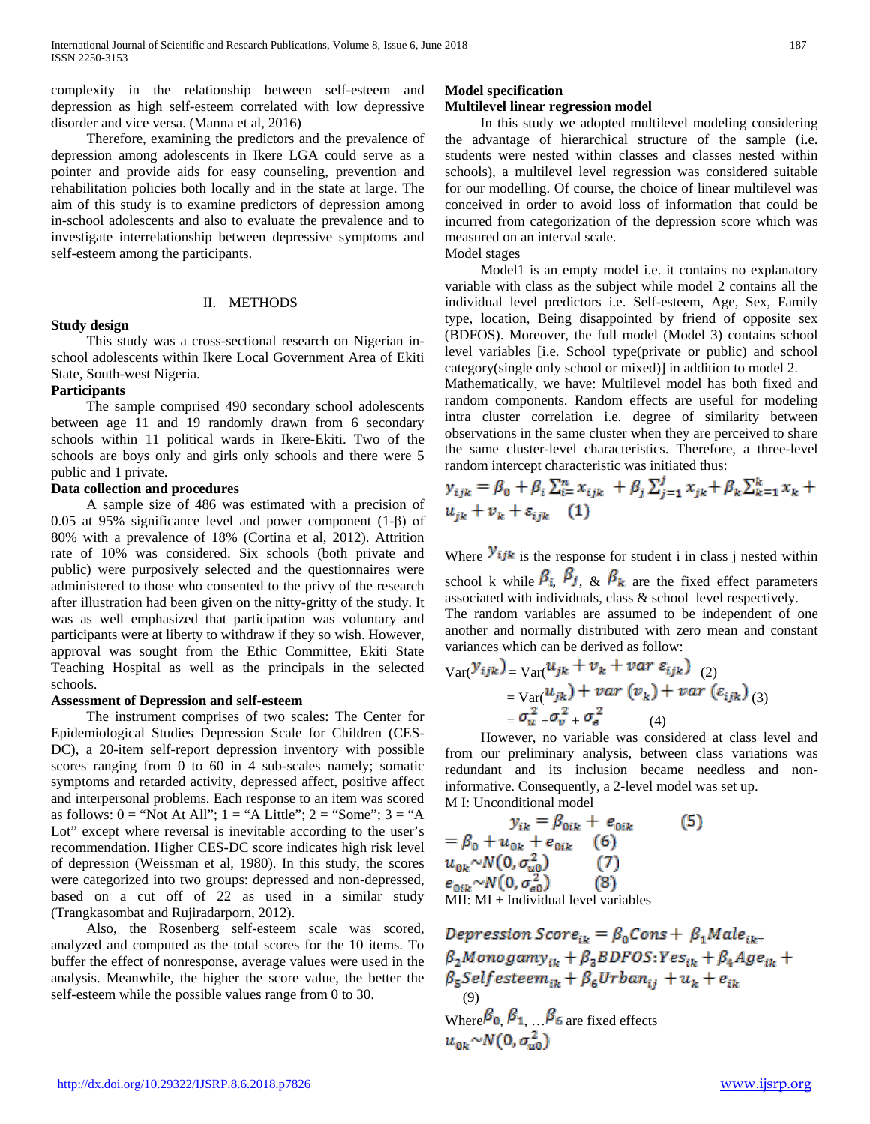complexity in the relationship between self-esteem and depression as high self-esteem correlated with low depressive disorder and vice versa. (Manna et al, 2016)

 Therefore, examining the predictors and the prevalence of depression among adolescents in Ikere LGA could serve as a pointer and provide aids for easy counseling, prevention and rehabilitation policies both locally and in the state at large. The aim of this study is to examine predictors of depression among in-school adolescents and also to evaluate the prevalence and to investigate interrelationship between depressive symptoms and self-esteem among the participants.

#### II. METHODS

#### **Study design**

 This study was a cross-sectional research on Nigerian inschool adolescents within Ikere Local Government Area of Ekiti State, South-west Nigeria.

#### **Participants**

 The sample comprised 490 secondary school adolescents between age 11 and 19 randomly drawn from 6 secondary schools within 11 political wards in Ikere-Ekiti. Two of the schools are boys only and girls only schools and there were 5 public and 1 private.

#### **Data collection and procedures**

 A sample size of 486 was estimated with a precision of 0.05 at 95% significance level and power component (1-β) of 80% with a prevalence of 18% (Cortina et al, 2012). Attrition rate of 10% was considered. Six schools (both private and public) were purposively selected and the questionnaires were administered to those who consented to the privy of the research after illustration had been given on the nitty-gritty of the study. It was as well emphasized that participation was voluntary and participants were at liberty to withdraw if they so wish. However, approval was sought from the Ethic Committee, Ekiti State Teaching Hospital as well as the principals in the selected schools.

#### **Assessment of Depression and self-esteem**

 The instrument comprises of two scales: The Center for Epidemiological Studies Depression Scale for Children (CES-DC), a 20-item self-report depression inventory with possible scores ranging from 0 to 60 in 4 sub-scales namely; somatic symptoms and retarded activity, depressed affect, positive affect and interpersonal problems. Each response to an item was scored as follows:  $0 = "Not At All"; 1 = "A Little"; 2 = "Some"; 3 = "A$ Lot" except where reversal is inevitable according to the user's recommendation. Higher CES-DC score indicates high risk level of depression (Weissman et al, 1980). In this study, the scores were categorized into two groups: depressed and non-depressed, based on a cut off of 22 as used in a similar study (Trangkasombat and Rujiradarporn, 2012).

 Also, the Rosenberg self-esteem scale was scored, analyzed and computed as the total scores for the 10 items. To buffer the effect of nonresponse, average values were used in the analysis. Meanwhile, the higher the score value, the better the self-esteem while the possible values range from 0 to 30.

#### **Model specification**

## **Multilevel linear regression model**

 In this study we adopted multilevel modeling considering the advantage of hierarchical structure of the sample (i.e. students were nested within classes and classes nested within schools), a multilevel level regression was considered suitable for our modelling. Of course, the choice of linear multilevel was conceived in order to avoid loss of information that could be incurred from categorization of the depression score which was measured on an interval scale.

#### Model stages

Model1 is an empty model i.e. it contains no explanatory variable with class as the subject while model 2 contains all the individual level predictors i.e. Self-esteem, Age, Sex, Family type, location, Being disappointed by friend of opposite sex (BDFOS). Moreover, the full model (Model 3) contains school level variables [i.e. School type(private or public) and school category(single only school or mixed)] in addition to model 2.

Mathematically, we have: Multilevel model has both fixed and random components. Random effects are useful for modeling intra cluster correlation i.e. degree of similarity between observations in the same cluster when they are perceived to share the same cluster-level characteristics. Therefore, a three-level random intercept characteristic was initiated thus:

$$
y_{ijk} = \beta_0 + \beta_i \sum_{i=1}^n x_{ijk} + \beta_j \sum_{j=1}^j x_{jk} + \beta_k \sum_{k=1}^k x_k + u_{jk} + v_k + \varepsilon_{ijk} \tag{1}
$$

Where  $\mathbf{y}_{ijk}$  is the response for student i in class j nested within school k while  $\beta_i$ ,  $\beta_j$ ,  $\&$   $\beta_k$  are the fixed effect parameters

associated with individuals, class & school level respectively. The random variables are assumed to be independent of one another and normally distributed with zero mean and constant variances which can be derived as follow:

$$
\operatorname{Var}(\mathcal{Y}_{ijk}) = \operatorname{Var}(\mathcal{U}_{jk} + \mathcal{V}_k + \mathcal{V}ar \varepsilon_{ijk})
$$
  
= 
$$
\operatorname{Var}(\mathcal{U}_{jk}) + \mathcal{V}ar (\mathcal{V}_k) + \mathcal{V}ar (\varepsilon_{ijk})
$$
  
= 
$$
\sigma_{u}^2 + \sigma_{v}^2 + \sigma_{e}^2
$$
 (4)

 However, no variable was considered at class level and from our preliminary analysis, between class variations was redundant and its inclusion became needless and noninformative. Consequently, a 2-level model was set up. M I: Unconditional model

$$
y_{ik} = \beta_{0ik} + e_{0ik}
$$
 (5)  
=  $\beta_0 + u_{0k} + e_{0ik}$  (6)  
 $u_{0k} \sim N(0, \sigma_{u0}^2)$  (7)  
 $e_{0ik} \sim N(0, \sigma_{e0}^2)$  (8)  
MI: MI + Individual level variables

Depression Score<sub>ik</sub> =  $\beta_0$ Cons +  $\beta_1$ Male<sub>ik+</sub><br> $\beta_2$ Monogamy<sub>ik</sub> +  $\beta_3$ BDFOS:Yes<sub>ik</sub> +  $\beta_4$ Age<sub>ik</sub> +  $\beta_5$ Self esteem<sub>ik</sub> +  $\beta_6$ Urban<sub>ii</sub> +  $u_k$  +  $e_{ik}$  (9) Where  $\beta_0$ ,  $\beta_1$ ,  $\beta_6$  are fixed effects<br> $u_{\alpha\alpha} \sim N(0, \sigma_{\alpha}^2)$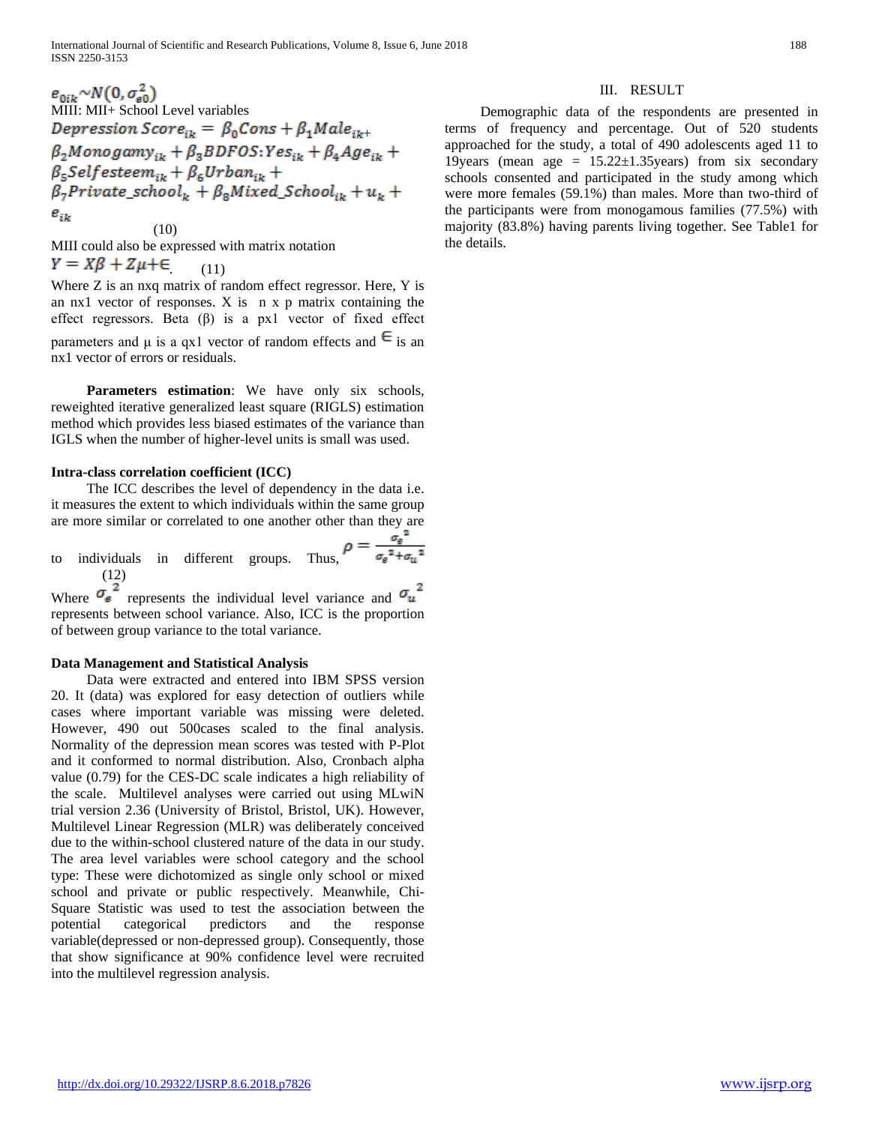$e_{0ik} \sim N(0, \sigma_{e0}^2)$ <br>MIII: MII+ School Level variables Depression Score<sub>ik</sub> =  $\beta_0$ Cons +  $\beta_1$ Male<sub>ik+</sub><br> $\beta_2$ Monogamy<sub>ik</sub> +  $\beta_3$ BDFOS:Yes<sub>ik</sub> +  $\beta_4$ Age<sub>ik</sub> +  $\beta_{5}$ Selfesteem<sub>ik</sub> +  $\beta_{6}$ Urban<sub>ik</sub> +  $\beta_7$ Private\_school<sub>k</sub> +  $\beta_8$ Mixed\_School<sub>ik</sub> +  $u_k$  +  $e_{ik}$ 

(10) MIII could also be expressed with matrix notation  $Y = X\beta + Z\mu + \epsilon$  (11)

Where Z is an nxq matrix of random effect regressor. Here, Y is an nx1 vector of responses. X is n x p matrix containing the effect regressors. Beta (β) is a px1 vector of fixed effect parameters and  $\mu$  is a qx1 vector of random effects and  $\epsilon$  is an

nx1 vector of errors or residuals.

Parameters estimation: We have only six schools, reweighted iterative generalized least square (RIGLS) estimation method which provides less biased estimates of the variance than IGLS when the number of higher-level units is small was used.

## **Intra-class correlation coefficient (ICC)**

 The ICC describes the level of dependency in the data i.e. it measures the extent to which individuals within the same group are more similar or correlated to one another other than they are

to individuals in different groups. Thus, 
$$
\rho = \frac{\sigma_{\text{g}}^2}{\sigma_{\text{g}}^2 + \sigma_{\text{m}}^2}
$$
 (12)

Where  $\sigma_{\rm g}$  represents the individual level variance and represents between school variance. Also, ICC is the proportion of between group variance to the total variance.

## **Data Management and Statistical Analysis**

 Data were extracted and entered into IBM SPSS version 20. It (data) was explored for easy detection of outliers while cases where important variable was missing were deleted. However, 490 out 500cases scaled to the final analysis. Normality of the depression mean scores was tested with P-Plot and it conformed to normal distribution. Also, Cronbach alpha value (0.79) for the CES-DC scale indicates a high reliability of the scale. Multilevel analyses were carried out using MLwiN trial version 2.36 (University of Bristol, Bristol, UK). However, Multilevel Linear Regression (MLR) was deliberately conceived due to the within-school clustered nature of the data in our study. The area level variables were school category and the school type: These were dichotomized as single only school or mixed school and private or public respectively. Meanwhile, Chi-Square Statistic was used to test the association between the potential categorical predictors and the response variable(depressed or non-depressed group). Consequently, those that show significance at 90% confidence level were recruited into the multilevel regression analysis.

## III. RESULT

 Demographic data of the respondents are presented in terms of frequency and percentage. Out of 520 students approached for the study, a total of 490 adolescents aged 11 to 19years (mean age =  $15.22 \pm 1.35$ years) from six secondary schools consented and participated in the study among which were more females (59.1%) than males. More than two-third of the participants were from monogamous families (77.5%) with majority (83.8%) having parents living together. See Table1 for the details.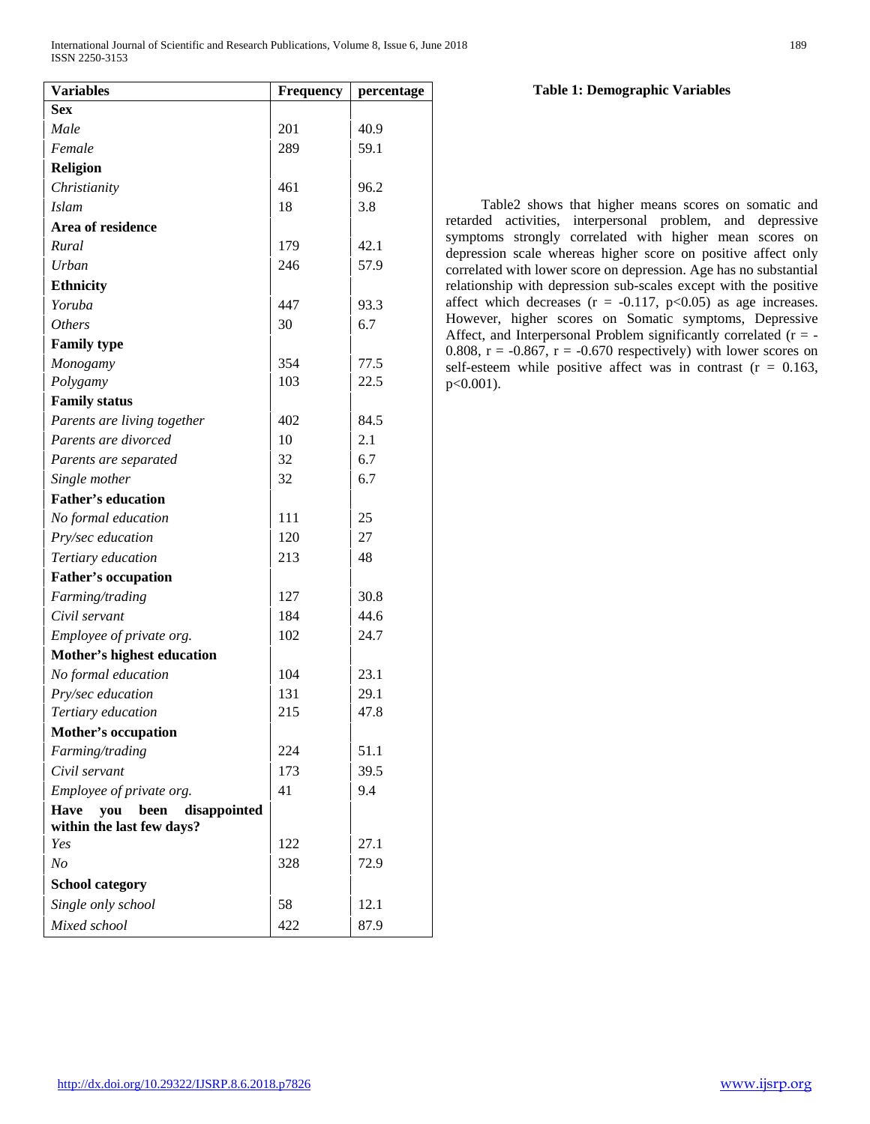| <b>Variables</b>                                                  | <b>Frequency</b> | percentage |
|-------------------------------------------------------------------|------------------|------------|
| <b>Sex</b>                                                        |                  |            |
| Male                                                              | 201              | 40.9       |
| Female                                                            | 289              | 59.1       |
| <b>Religion</b>                                                   |                  |            |
| Christianity                                                      | 461              | 96.2       |
| <b>Islam</b>                                                      | 18               | 3.8        |
| Area of residence                                                 |                  |            |
| Rural                                                             | 179              | 42.1       |
| Urban                                                             | 246              | 57.9       |
| <b>Ethnicity</b>                                                  |                  |            |
| Yoruba                                                            | 447              | 93.3       |
| <i>Others</i>                                                     | 30               | 6.7        |
| <b>Family type</b>                                                |                  |            |
| Monogamy                                                          | 354              | 77.5       |
| Polygamy                                                          | 103              | 22.5       |
| <b>Family status</b>                                              |                  |            |
| Parents are living together                                       | 402              | 84.5       |
| Parents are divorced                                              | 10               | 2.1        |
| Parents are separated                                             | 32               | 6.7        |
| Single mother                                                     | 32               | 6.7        |
| <b>Father's education</b>                                         |                  |            |
| No formal education                                               | 111              | 25         |
| Pry/sec education                                                 | 120              | 27         |
| Tertiary education                                                | 213              | 48         |
| <b>Father's occupation</b>                                        |                  |            |
| Farming/trading                                                   | 127              | 30.8       |
| Civil servant                                                     | 184              | 44.6       |
| Employee of private org.                                          | 102              | 24.7       |
| Mother's highest education                                        |                  |            |
| No formal education                                               | 104              | 23.1       |
| Pry/sec education                                                 | 131              | 29.1       |
| Tertiary education                                                | 215              | 47.8       |
| <b>Mother's occupation</b>                                        |                  |            |
| Farming/trading                                                   | 224              | 51.1       |
| Civil servant                                                     | 173              | 39.5       |
| Employee of private org.                                          | 41               | 9.4        |
| <b>Have</b><br>you been disappointed<br>within the last few days? |                  |            |
| Yes                                                               | 122              | 27.1       |
| N <sub>o</sub>                                                    | 328              | 72.9       |
| <b>School category</b>                                            |                  |            |
| Single only school                                                | 58               | 12.1       |
| Mixed school                                                      | 422              | 87.9       |

## **Table 1: Demographic Variables**

 Table2 shows that higher means scores on somatic and retarded activities, interpersonal problem, and depressive symptoms strongly correlated with higher mean scores on depression scale whereas higher score on positive affect only correlated with lower score on depression. Age has no substantial relationship with depression sub-scales except with the positive affect which decreases  $(r = -0.117, p<0.05)$  as age increases. However, higher scores on Somatic symptoms, Depressive Affect, and Interpersonal Problem significantly correlated (r = - 0.808,  $r = -0.867$ ,  $r = -0.670$  respectively) with lower scores on self-esteem while positive affect was in contrast  $(r = 0.163,$ p<0.001).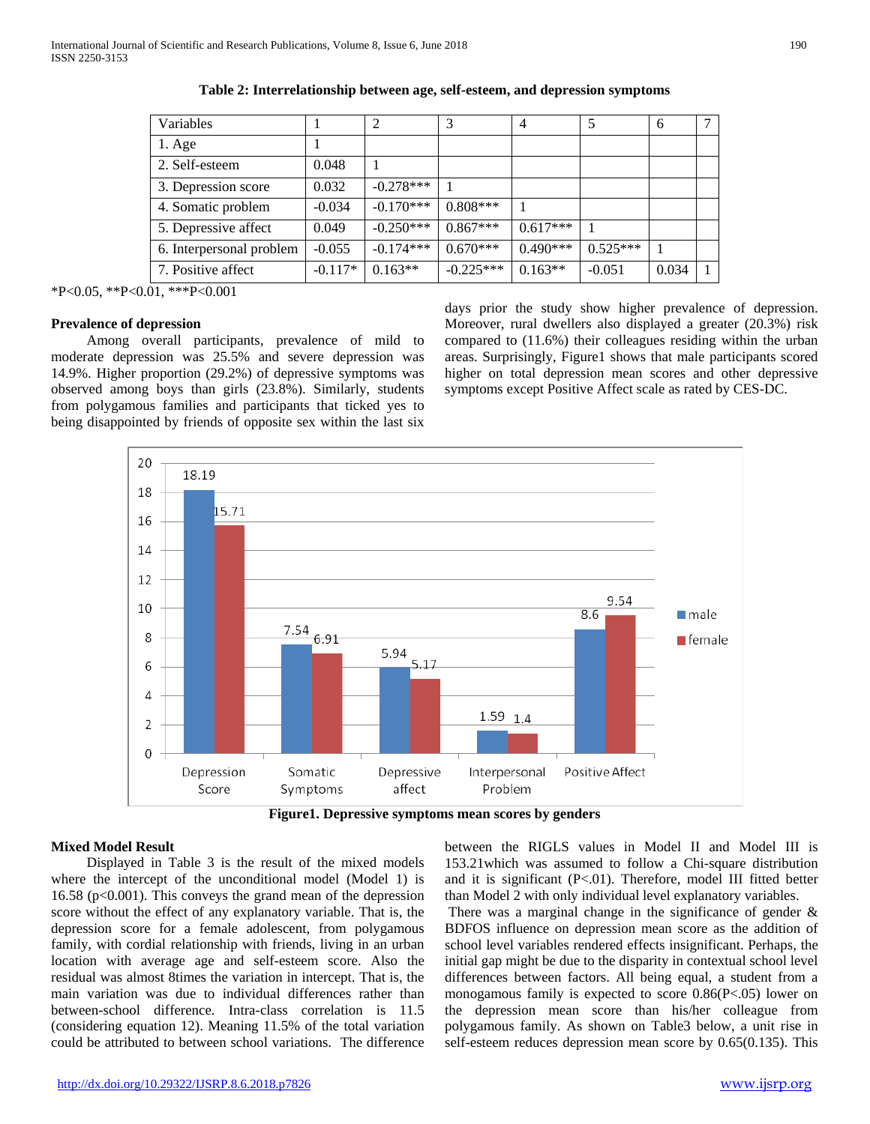| Variables                |           | 2           |             |            | 5          | 6     |  |
|--------------------------|-----------|-------------|-------------|------------|------------|-------|--|
| $1. \text{Age}$          |           |             |             |            |            |       |  |
| 2. Self-esteem           | 0.048     |             |             |            |            |       |  |
| 3. Depression score      | 0.032     | $-0.278***$ |             |            |            |       |  |
| 4. Somatic problem       | $-0.034$  | $-0.170***$ | $0.808***$  |            |            |       |  |
| 5. Depressive affect     | 0.049     | $-0.250***$ | $0.867***$  | $0.617***$ |            |       |  |
| 6. Interpersonal problem | $-0.055$  | $-0.174***$ | $0.670***$  | $0.490***$ | $0.525***$ |       |  |
| 7. Positive affect       | $-0.117*$ | $0.163**$   | $-0.225***$ | $0.163**$  | $-0.051$   | 0.034 |  |

**Table 2: Interrelationship between age, self-esteem, and depression symptoms**

\*P<0.05, \*\*P<0.01, \*\*\*P<0.001

#### **Prevalence of depression**

 Among overall participants, prevalence of mild to moderate depression was 25.5% and severe depression was 14.9%. Higher proportion (29.2%) of depressive symptoms was observed among boys than girls (23.8%). Similarly, students from polygamous families and participants that ticked yes to being disappointed by friends of opposite sex within the last six

days prior the study show higher prevalence of depression. Moreover, rural dwellers also displayed a greater (20.3%) risk compared to (11.6%) their colleagues residing within the urban areas. Surprisingly, Figure1 shows that male participants scored higher on total depression mean scores and other depressive symptoms except Positive Affect scale as rated by CES-DC.



**Figure1. Depressive symptoms mean scores by genders**

#### **Mixed Model Result**

 Displayed in Table 3 is the result of the mixed models where the intercept of the unconditional model (Model 1) is 16.58 (p<0.001). This conveys the grand mean of the depression score without the effect of any explanatory variable. That is, the depression score for a female adolescent, from polygamous family, with cordial relationship with friends, living in an urban location with average age and self-esteem score. Also the residual was almost 8times the variation in intercept. That is, the main variation was due to individual differences rather than between-school difference. Intra-class correlation is 11.5 (considering equation 12). Meaning 11.5% of the total variation could be attributed to between school variations. The difference

between the RIGLS values in Model II and Model III is 153.21which was assumed to follow a Chi-square distribution and it is significant (P<.01). Therefore, model III fitted better than Model 2 with only individual level explanatory variables.

There was a marginal change in the significance of gender  $\&$ BDFOS influence on depression mean score as the addition of school level variables rendered effects insignificant. Perhaps, the initial gap might be due to the disparity in contextual school level differences between factors. All being equal, a student from a monogamous family is expected to score 0.86(P<.05) lower on the depression mean score than his/her colleague from polygamous family. As shown on Table3 below, a unit rise in self-esteem reduces depression mean score by 0.65(0.135). This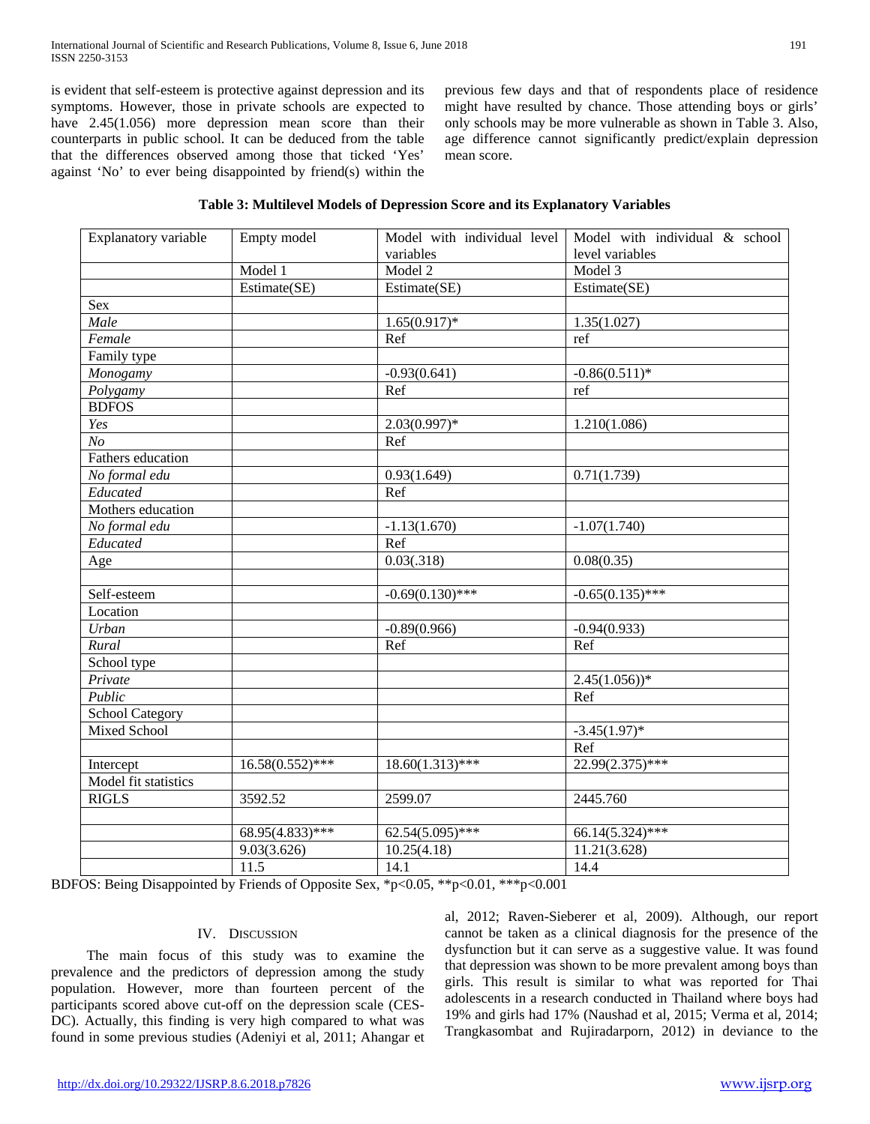is evident that self-esteem is protective against depression and its symptoms. However, those in private schools are expected to have 2.45(1.056) more depression mean score than their counterparts in public school. It can be deduced from the table that the differences observed among those that ticked 'Yes' against 'No' to ever being disappointed by friend(s) within the previous few days and that of respondents place of residence might have resulted by chance. Those attending boys or girls' only schools may be more vulnerable as shown in Table 3. Also, age difference cannot significantly predict/explain depression mean score.

|  |  | Table 3: Multilevel Models of Depression Score and its Explanatory Variables |
|--|--|------------------------------------------------------------------------------|
|--|--|------------------------------------------------------------------------------|

| Explanatory variable   | Empty model        | Model with individual level | Model with individual & school |
|------------------------|--------------------|-----------------------------|--------------------------------|
|                        |                    | variables                   | level variables                |
|                        | Model 1            | Model 2                     | Model 3                        |
|                        | Estimate(SE)       | Estimate(SE)                | Estimate(SE)                   |
| Sex                    |                    |                             |                                |
| Male                   |                    | $1.65(0.917)$ *             | 1.35(1.027)                    |
| Female                 |                    | Ref                         | ref                            |
| Family type            |                    |                             |                                |
| Monogamy               |                    | $-0.93(0.641)$              | $-0.86(0.511)*$                |
| Polygamy               |                    | Ref                         | ref                            |
| <b>BDFOS</b>           |                    |                             |                                |
| Yes                    |                    | $2.03(0.997)*$              | 1.210(1.086)                   |
| $\overline{No}$        |                    | Ref                         |                                |
| Fathers education      |                    |                             |                                |
| No formal edu          |                    | 0.93(1.649)                 | 0.71(1.739)                    |
| Educated               |                    | Ref                         |                                |
| Mothers education      |                    |                             |                                |
| No formal edu          |                    | $-1.13(1.670)$              | $-1.07(1.740)$                 |
| Educated               |                    | Ref                         |                                |
| Age                    |                    | 0.03(.318)                  | 0.08(0.35)                     |
|                        |                    |                             |                                |
| Self-esteem            |                    | $-0.69(0.130)*$ ***         | $-0.65(0.135)$ ***             |
| Location               |                    |                             |                                |
| Urban                  |                    | $-0.89(0.966)$              | $-0.94(0.933)$                 |
| Rural                  |                    | Ref                         | Ref                            |
| School type            |                    |                             |                                |
| Private                |                    |                             | $2.45(1.056)$ <sup>*</sup>     |
| Public                 |                    |                             | Ref                            |
| <b>School Category</b> |                    |                             |                                |
| <b>Mixed School</b>    |                    |                             | $-3.45(1.97)$ *                |
|                        |                    |                             | $\overline{\text{Ref}}$        |
| Intercept              | $16.58(0.552)$ *** | $18.60(1.313)$ ***          | $22.99(2.375)$ ***             |
| Model fit statistics   |                    |                             |                                |
| <b>RIGLS</b>           | 3592.52            | 2599.07                     | 2445.760                       |
|                        |                    |                             |                                |
|                        | $68.95(4.833)$ *** | $62.54(5.095)$ ***          | $66.14(5.324)$ ***             |
|                        | 9.03(3.626)        | 10.25(4.18)                 | 11.21(3.628)                   |
|                        | 11.5               | 14.1                        | 14.4                           |

BDFOS: Being Disappointed by Friends of Opposite Sex, \*p<0.05, \*\*p<0.01, \*\*\*p<0.001

#### IV. DISCUSSION

 The main focus of this study was to examine the prevalence and the predictors of depression among the study population. However, more than fourteen percent of the participants scored above cut-off on the depression scale (CES-DC). Actually, this finding is very high compared to what was found in some previous studies (Adeniyi et al, 2011; Ahangar et

al, 2012; Raven-Sieberer et al, 2009). Although, our report cannot be taken as a clinical diagnosis for the presence of the dysfunction but it can serve as a suggestive value. It was found that depression was shown to be more prevalent among boys than girls. This result is similar to what was reported for Thai adolescents in a research conducted in Thailand where boys had 19% and girls had 17% (Naushad et al, 2015; Verma et al, 2014; Trangkasombat and Rujiradarporn, 2012) in deviance to the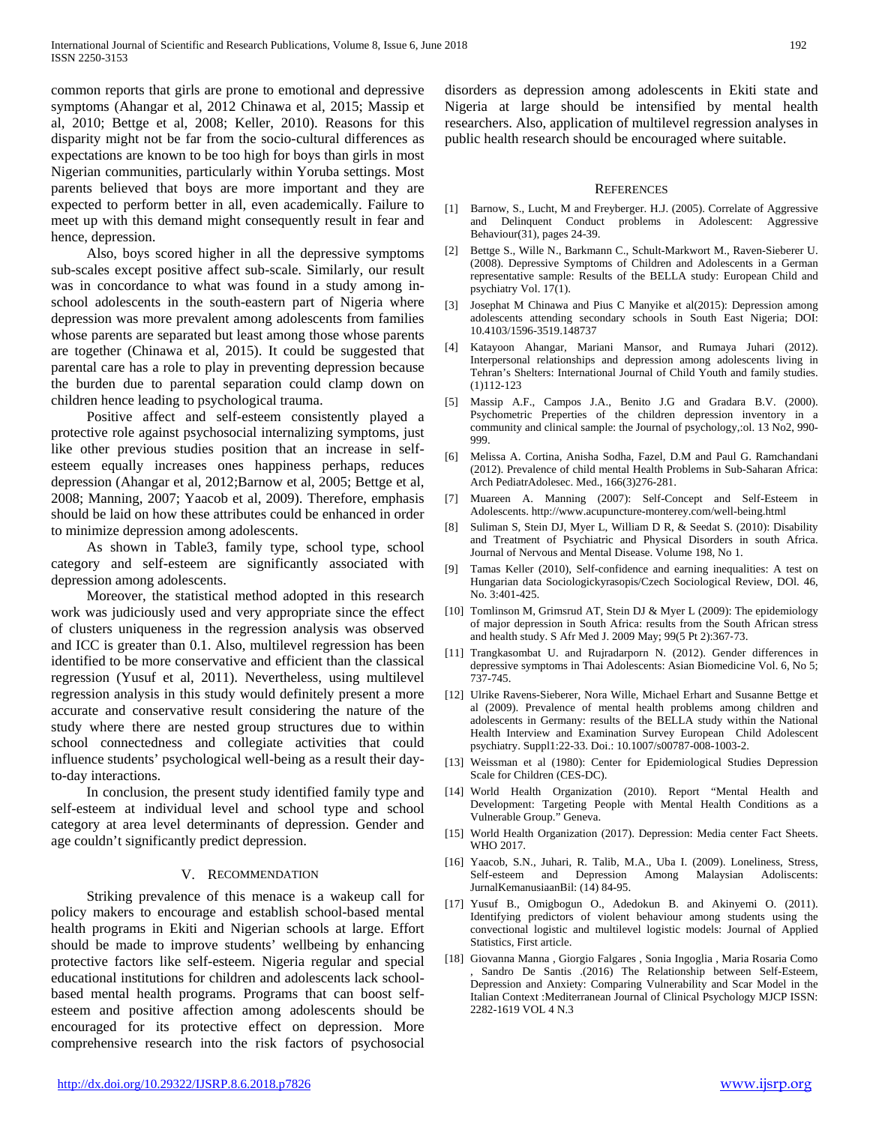common reports that girls are prone to emotional and depressive symptoms (Ahangar et al, 2012 Chinawa et al, 2015; Massip et al, 2010; Bettge et al, 2008; Keller, 2010). Reasons for this disparity might not be far from the socio-cultural differences as expectations are known to be too high for boys than girls in most Nigerian communities, particularly within Yoruba settings. Most parents believed that boys are more important and they are expected to perform better in all, even academically. Failure to meet up with this demand might consequently result in fear and hence, depression.

 Also, boys scored higher in all the depressive symptoms sub-scales except positive affect sub-scale. Similarly, our result was in concordance to what was found in a study among inschool adolescents in the south-eastern part of Nigeria where depression was more prevalent among adolescents from families whose parents are separated but least among those whose parents are together (Chinawa et al, 2015). It could be suggested that parental care has a role to play in preventing depression because the burden due to parental separation could clamp down on children hence leading to psychological trauma.

 Positive affect and self-esteem consistently played a protective role against psychosocial internalizing symptoms, just like other previous studies position that an increase in selfesteem equally increases ones happiness perhaps, reduces depression (Ahangar et al, 2012;Barnow et al, 2005; Bettge et al, 2008; Manning, 2007; Yaacob et al, 2009). Therefore, emphasis should be laid on how these attributes could be enhanced in order to minimize depression among adolescents.

 As shown in Table3, family type, school type, school category and self-esteem are significantly associated with depression among adolescents.

 Moreover, the statistical method adopted in this research work was judiciously used and very appropriate since the effect of clusters uniqueness in the regression analysis was observed and ICC is greater than 0.1. Also, multilevel regression has been identified to be more conservative and efficient than the classical regression (Yusuf et al, 2011). Nevertheless, using multilevel regression analysis in this study would definitely present a more accurate and conservative result considering the nature of the study where there are nested group structures due to within school connectedness and collegiate activities that could influence students' psychological well-being as a result their dayto-day interactions.

 In conclusion, the present study identified family type and self-esteem at individual level and school type and school category at area level determinants of depression. Gender and age couldn't significantly predict depression.

#### V. RECOMMENDATION

 Striking prevalence of this menace is a wakeup call for policy makers to encourage and establish school-based mental health programs in Ekiti and Nigerian schools at large. Effort should be made to improve students' wellbeing by enhancing protective factors like self-esteem. Nigeria regular and special educational institutions for children and adolescents lack schoolbased mental health programs. Programs that can boost selfesteem and positive affection among adolescents should be encouraged for its protective effect on depression. More comprehensive research into the risk factors of psychosocial disorders as depression among adolescents in Ekiti state and Nigeria at large should be intensified by mental health researchers. Also, application of multilevel regression analyses in public health research should be encouraged where suitable.

#### REFERENCES

- [1] Barnow, S., Lucht, M and Freyberger. H.J. (2005). Correlate of Aggressive and Delinquent Conduct problems in Adolescent: Aggressive Behaviour(31), pages 24-39.
- [2] Bettge S., Wille N., Barkmann C., Schult-Markwort M., Raven-Sieberer U. (2008). Depressive Symptoms of Children and Adolescents in a German representative sample: Results of the BELLA study: European Child and psychiatry Vol. 17(1).
- [3] Josephat M Chinawa and Pius C Manyike et al(2015): Depression among adolescents attending secondary schools in South East Nigeria; DOI: 10.4103/1596-3519.148737
- [4] Katayoon Ahangar, Mariani Mansor, and Rumaya Juhari (2012). Interpersonal relationships and depression among adolescents living in Tehran's Shelters: International Journal of Child Youth and family studies. (1)112-123
- [5] Massip A.F., Campos J.A., Benito J.G and Gradara B.V. (2000). Psychometric Preperties of the children depression inventory in a community and clinical sample: the Journal of psychology,:ol. 13 No2, 990- 999.
- [6] Melissa A. Cortina, Anisha Sodha, Fazel, D.M and Paul G. Ramchandani (2012). Prevalence of child mental Health Problems in Sub-Saharan Africa: Arch PediatrAdolesec. Med., 166(3)276-281.
- [7] Muareen A. Manning (2007): Self-Concept and Self-Esteem in Adolescents. http://www.acupuncture-monterey.com/well-being.html
- [8] Suliman S, Stein DJ, Myer L, William D R, & Seedat S. (2010): Disability and Treatment of Psychiatric and Physical Disorders in south Africa. Journal of Nervous and Mental Disease. Volume 198, No 1.
- [9] Tamas Keller (2010), Self-confidence and earning inequalities: A test on Hungarian data Sociologickyrasopis/Czech Sociological Review, DOl. 46, No. 3:401-425.
- [10] Tomlinson M, Grimsrud AT, Stein DJ & Myer L (2009): The epidemiology of major depression in South Africa: results from the South African stress and health study. S Afr Med J. 2009 May; 99(5 Pt 2):367‐73.
- [11] Trangkasombat U. and Rujradarporn N. (2012). Gender differences in depressive symptoms in Thai Adolescents: Asian Biomedicine Vol. 6, No 5; 737-745.
- [12] Ulrike Ravens-Sieberer, Nora Wille, Michael Erhart and Susanne Bettge et al (2009). Prevalence of mental health problems among children and adolescents in Germany: results of the BELLA study within the National Health Interview and Examination Survey European Child Adolescent psychiatry. Suppl1:22-33. Doi.: 10.1007/s00787-008-1003-2.
- [13] Weissman et al (1980): Center for Epidemiological Studies Depression Scale for Children (CES-DC).
- [14] World Health Organization (2010). Report "Mental Health and Development: Targeting People with Mental Health Conditions as a Vulnerable Group." Geneva.
- [15] World Health Organization (2017). Depression: Media center Fact Sheets. WHO 2017.
- [16] Yaacob, S.N., Juhari, R. Talib, M.A., Uba I. (2009). Loneliness, Stress, Self-esteem and Depression Among Malaysian Adoliscents: JurnalKemanusiaanBil: (14) 84-95.
- [17] Yusuf B., Omigbogun O., Adedokun B. and Akinyemi O. (2011). Identifying predictors of violent behaviour among students using the convectional logistic and multilevel logistic models: Journal of Applied Statistics, First article.
- [18] Giovanna Manna , Giorgio Falgares , Sonia Ingoglia , Maria Rosaria Como , Sandro De Santis .(2016) The Relationship between Self-Esteem, Depression and Anxiety: Comparing Vulnerability and Scar Model in the Italian Context :Mediterranean Journal of Clinical Psychology MJCP ISSN: 2282-1619 VOL 4 N.3